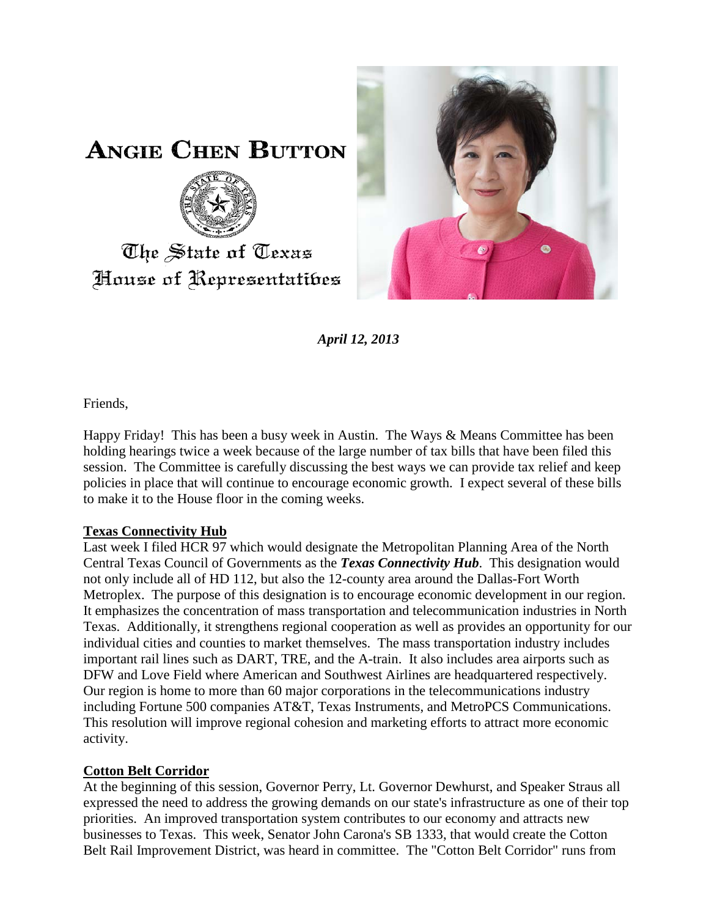

**ANGIE CHEN BUTTON** 



## The State of Texas House of Representatibes

*April 12, 2013*

Friends,

Happy Friday! This has been a busy week in Austin. The Ways & Means Committee has been holding hearings twice a week because of the large number of tax bills that have been filed this session. The Committee is carefully discussing the best ways we can provide tax relief and keep policies in place that will continue to encourage economic growth. I expect several of these bills to make it to the House floor in the coming weeks.

## **Texas Connectivity Hub**

Last week I filed HCR 97 which would designate the Metropolitan Planning Area of the North Central Texas Council of Governments as the *Texas Connectivity Hub*. This designation would not only include all of HD 112, but also the 12-county area around the Dallas-Fort Worth Metroplex. The purpose of this designation is to encourage economic development in our region. It emphasizes the concentration of mass transportation and telecommunication industries in North Texas. Additionally, it strengthens regional cooperation as well as provides an opportunity for our individual cities and counties to market themselves. The mass transportation industry includes important rail lines such as DART, TRE, and the A-train. It also includes area airports such as DFW and Love Field where American and Southwest Airlines are headquartered respectively. Our region is home to more than 60 major corporations in the telecommunications industry including Fortune 500 companies AT&T, Texas Instruments, and MetroPCS Communications. This resolution will improve regional cohesion and marketing efforts to attract more economic activity.

## **Cotton Belt Corridor**

At the beginning of this session, Governor Perry, Lt. Governor Dewhurst, and Speaker Straus all expressed the need to address the growing demands on our state's infrastructure as one of their top priorities. An improved transportation system contributes to our economy and attracts new businesses to Texas. This week, Senator John Carona's SB 1333, that would create the Cotton Belt Rail Improvement District, was heard in committee. The "Cotton Belt Corridor" runs from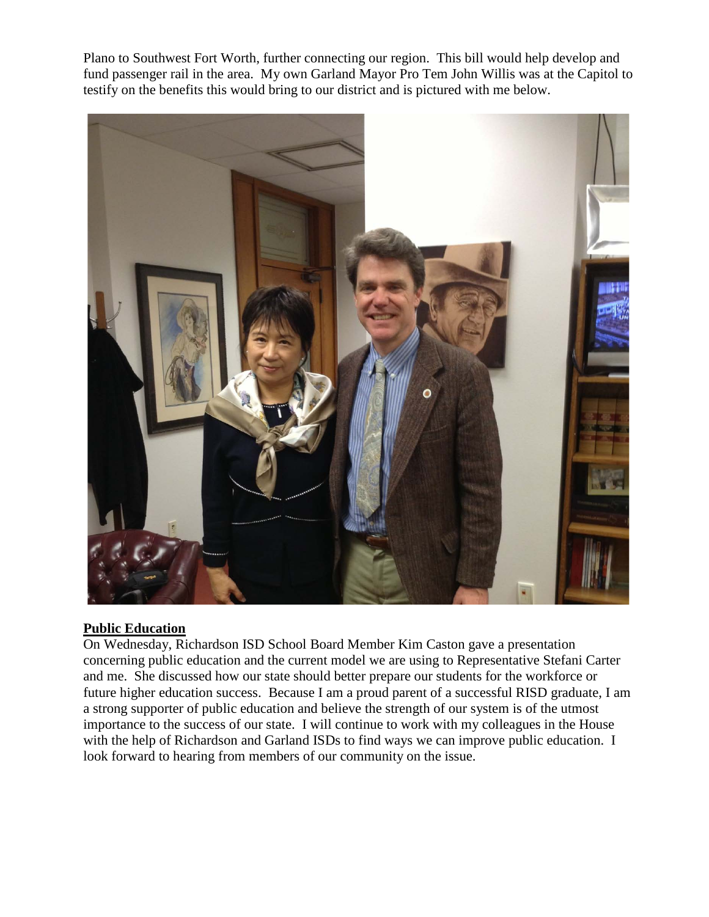Plano to Southwest Fort Worth, further connecting our region. This bill would help develop and fund passenger rail in the area. My own Garland Mayor Pro Tem John Willis was at the Capitol to testify on the benefits this would bring to our district and is pictured with me below.



## **Public Education**

On Wednesday, Richardson ISD School Board Member Kim Caston gave a presentation concerning public education and the current model we are using to Representative Stefani Carter and me. She discussed how our state should better prepare our students for the workforce or future higher education success. Because I am a proud parent of a successful RISD graduate, I am a strong supporter of public education and believe the strength of our system is of the utmost importance to the success of our state. I will continue to work with my colleagues in the House with the help of Richardson and Garland ISDs to find ways we can improve public education. I look forward to hearing from members of our community on the issue.